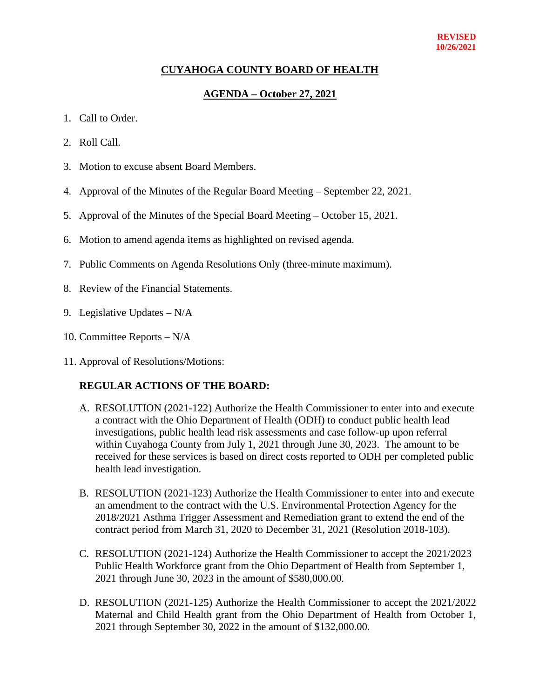#### **REVISED 10/26/2021**

## **CUYAHOGA COUNTY BOARD OF HEALTH**

## **AGENDA – October 27, 2021**

- 1. Call to Order.
- 2. Roll Call.
- 3. Motion to excuse absent Board Members.
- 4. Approval of the Minutes of the Regular Board Meeting September 22, 2021.
- 5. Approval of the Minutes of the Special Board Meeting October 15, 2021.
- 6. Motion to amend agenda items as highlighted on revised agenda.
- 7. Public Comments on Agenda Resolutions Only (three-minute maximum).
- 8. Review of the Financial Statements.
- 9. Legislative Updates N/A
- 10. Committee Reports N/A
- 11. Approval of Resolutions/Motions:

#### **REGULAR ACTIONS OF THE BOARD:**

- A. RESOLUTION (2021-122) Authorize the Health Commissioner to enter into and execute a contract with the Ohio Department of Health (ODH) to conduct public health lead investigations, public health lead risk assessments and case follow-up upon referral within Cuyahoga County from July 1, 2021 through June 30, 2023. The amount to be received for these services is based on direct costs reported to ODH per completed public health lead investigation.
- B. RESOLUTION (2021-123) Authorize the Health Commissioner to enter into and execute an amendment to the contract with the U.S. Environmental Protection Agency for the 2018/2021 Asthma Trigger Assessment and Remediation grant to extend the end of the contract period from March 31, 2020 to December 31, 2021 (Resolution 2018-103).
- C. RESOLUTION (2021-124) Authorize the Health Commissioner to accept the 2021/2023 Public Health Workforce grant from the Ohio Department of Health from September 1, 2021 through June 30, 2023 in the amount of \$580,000.00.
- D. RESOLUTION (2021-125) Authorize the Health Commissioner to accept the 2021/2022 Maternal and Child Health grant from the Ohio Department of Health from October 1, 2021 through September 30, 2022 in the amount of \$132,000.00.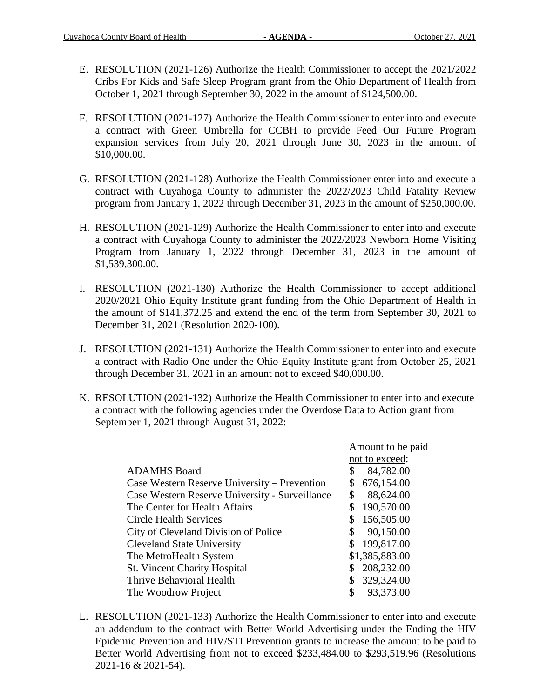- E. RESOLUTION (2021-126) Authorize the Health Commissioner to accept the 2021/2022 Cribs For Kids and Safe Sleep Program grant from the Ohio Department of Health from October 1, 2021 through September 30, 2022 in the amount of \$124,500.00.
- F. RESOLUTION (2021-127) Authorize the Health Commissioner to enter into and execute a contract with Green Umbrella for CCBH to provide Feed Our Future Program expansion services from July 20, 2021 through June 30, 2023 in the amount of \$10,000.00.
- G. RESOLUTION (2021-128) Authorize the Health Commissioner enter into and execute a contract with Cuyahoga County to administer the 2022/2023 Child Fatality Review program from January 1, 2022 through December 31, 2023 in the amount of \$250,000.00.
- H. RESOLUTION (2021-129) Authorize the Health Commissioner to enter into and execute a contract with Cuyahoga County to administer the 2022/2023 Newborn Home Visiting Program from January 1, 2022 through December 31, 2023 in the amount of \$1,539,300.00.
- I. RESOLUTION (2021-130) Authorize the Health Commissioner to accept additional 2020/2021 Ohio Equity Institute grant funding from the Ohio Department of Health in the amount of \$141,372.25 and extend the end of the term from September 30, 2021 to December 31, 2021 (Resolution 2020-100).
- J. RESOLUTION (2021-131) Authorize the Health Commissioner to enter into and execute a contract with Radio One under the Ohio Equity Institute grant from October 25, 2021 through December 31, 2021 in an amount not to exceed \$40,000.00.
- K. RESOLUTION (2021-132) Authorize the Health Commissioner to enter into and execute a contract with the following agencies under the Overdose Data to Action grant from September 1, 2021 through August 31, 2022:

|                                                | Amount to be paid |                |
|------------------------------------------------|-------------------|----------------|
|                                                | not to exceed:    |                |
| <b>ADAMHS</b> Board                            | \$                | 84,782.00      |
| Case Western Reserve University – Prevention   | \$                | 676,154.00     |
| Case Western Reserve University - Surveillance | \$                | 88,624.00      |
| The Center for Health Affairs                  | \$                | 190,570.00     |
| Circle Health Services                         | \$                | 156,505.00     |
| City of Cleveland Division of Police           | \$                | 90,150.00      |
| <b>Cleveland State University</b>              | \$                | 199,817.00     |
| The MetroHealth System                         |                   | \$1,385,883.00 |
| <b>St. Vincent Charity Hospital</b>            | \$                | 208,232.00     |
| Thrive Behavioral Health                       | S                 | 329,324.00     |
| The Woodrow Project                            | \$                | 93,373.00      |

L. RESOLUTION (2021-133) Authorize the Health Commissioner to enter into and execute an addendum to the contract with Better World Advertising under the Ending the HIV Epidemic Prevention and HIV/STI Prevention grants to increase the amount to be paid to Better World Advertising from not to exceed \$233,484.00 to \$293,519.96 (Resolutions 2021-16 & 2021-54).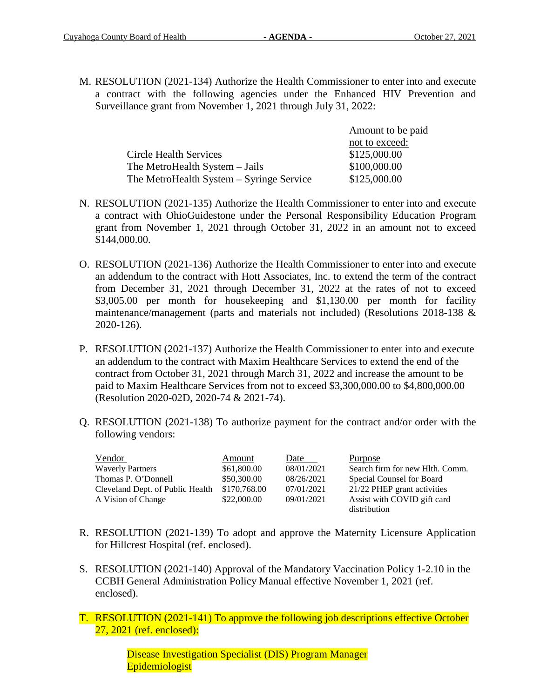M. RESOLUTION (2021-134) Authorize the Health Commissioner to enter into and execute a contract with the following agencies under the Enhanced HIV Prevention and Surveillance grant from November 1, 2021 through July 31, 2022:

|                                          | Amount to be paid |  |
|------------------------------------------|-------------------|--|
|                                          | not to exceed:    |  |
| Circle Health Services                   | \$125,000.00      |  |
| The MetroHealth System – Jails           | \$100,000.00      |  |
| The MetroHealth System – Syringe Service | \$125,000.00      |  |

- N. RESOLUTION (2021-135) Authorize the Health Commissioner to enter into and execute a contract with OhioGuidestone under the Personal Responsibility Education Program grant from November 1, 2021 through October 31, 2022 in an amount not to exceed \$144,000.00.
- O. RESOLUTION (2021-136) Authorize the Health Commissioner to enter into and execute an addendum to the contract with Hott Associates, Inc. to extend the term of the contract from December 31, 2021 through December 31, 2022 at the rates of not to exceed \$3,005.00 per month for housekeeping and \$1,130.00 per month for facility maintenance/management (parts and materials not included) (Resolutions 2018-138 & 2020-126).
- P. RESOLUTION (2021-137) Authorize the Health Commissioner to enter into and execute an addendum to the contract with Maxim Healthcare Services to extend the end of the contract from October 31, 2021 through March 31, 2022 and increase the amount to be paid to Maxim Healthcare Services from not to exceed \$3,300,000.00 to \$4,800,000.00 (Resolution 2020-02D, 2020-74 & 2021-74).
- Q. RESOLUTION (2021-138) To authorize payment for the contract and/or order with the following vendors:

| Vendor                           | Amount       | Date       | <b>Purpose</b>                  |
|----------------------------------|--------------|------------|---------------------------------|
| <b>Waverly Partners</b>          | \$61,800.00  | 08/01/2021 | Search firm for new Hlth. Comm. |
| Thomas P. O'Donnell              | \$50,300.00  | 08/26/2021 | Special Counsel for Board       |
| Cleveland Dept. of Public Health | \$170,768.00 | 07/01/2021 | 21/22 PHEP grant activities     |
| A Vision of Change               | \$22,000.00  | 09/01/2021 | Assist with COVID gift card     |
|                                  |              |            | distribution                    |

- R. RESOLUTION (2021-139) To adopt and approve the Maternity Licensure Application for Hillcrest Hospital (ref. enclosed).
- S. RESOLUTION (2021-140) Approval of the Mandatory Vaccination Policy 1-2.10 in the CCBH General Administration Policy Manual effective November 1, 2021 (ref. enclosed).
- T. RESOLUTION (2021-141) To approve the following job descriptions effective October 27, 2021 (ref. enclosed):

Disease Investigation Specialist (DIS) Program Manager Epidemiologist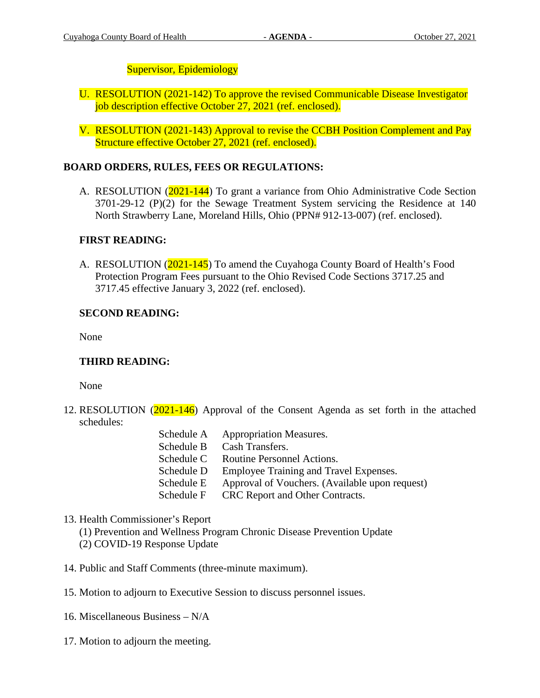# Supervisor, Epidemiology

- U. RESOLUTION (2021-142) To approve the revised Communicable Disease Investigator job description effective October 27, 2021 (ref. enclosed).
- V. RESOLUTION (2021-143) Approval to revise the CCBH Position Complement and Pay Structure effective October 27, 2021 (ref. enclosed).

# **BOARD ORDERS, RULES, FEES OR REGULATIONS:**

A. RESOLUTION (2021-144) To grant a variance from Ohio Administrative Code Section 3701-29-12 (P)(2) for the Sewage Treatment System servicing the Residence at 140 North Strawberry Lane, Moreland Hills, Ohio (PPN# 912-13-007) (ref. enclosed).

# **FIRST READING:**

A. RESOLUTION (2021-145) To amend the Cuyahoga County Board of Health's Food Protection Program Fees pursuant to the Ohio Revised Code Sections 3717.25 and 3717.45 effective January 3, 2022 (ref. enclosed).

# **SECOND READING:**

None

# **THIRD READING:**

None

- 12. RESOLUTION (2021-146) Approval of the Consent Agenda as set forth in the attached schedules:
	- Schedule A Appropriation Measures. Schedule B Cash Transfers. Schedule C Routine Personnel Actions. Schedule D Employee Training and Travel Expenses. Schedule E Approval of Vouchers. (Available upon request)
	- Schedule F CRC Report and Other Contracts.

# 13. Health Commissioner's Report

(1) Prevention and Wellness Program Chronic Disease Prevention Update (2) COVID-19 Response Update

- 14. Public and Staff Comments (three-minute maximum).
- 15. Motion to adjourn to Executive Session to discuss personnel issues.
- 16. Miscellaneous Business N/A
- 17. Motion to adjourn the meeting.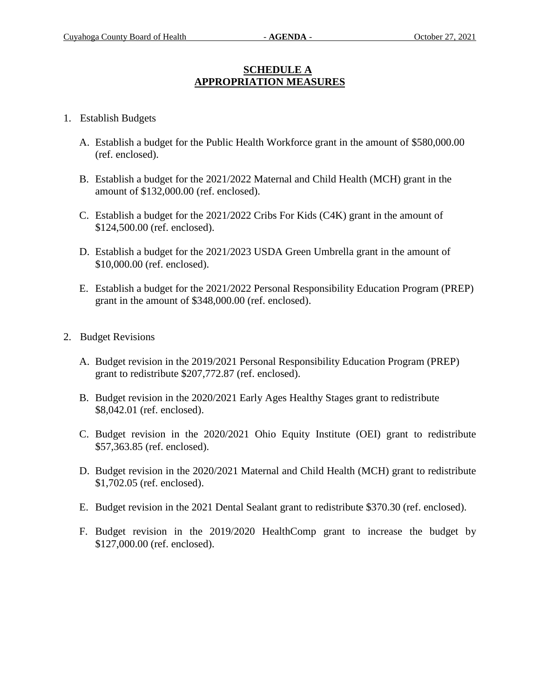# **SCHEDULE A APPROPRIATION MEASURES**

## 1. Establish Budgets

- A. Establish a budget for the Public Health Workforce grant in the amount of \$580,000.00 (ref. enclosed).
- B. Establish a budget for the 2021/2022 Maternal and Child Health (MCH) grant in the amount of \$132,000.00 (ref. enclosed).
- C. Establish a budget for the 2021/2022 Cribs For Kids (C4K) grant in the amount of \$124,500.00 (ref. enclosed).
- D. Establish a budget for the 2021/2023 USDA Green Umbrella grant in the amount of \$10,000.00 (ref. enclosed).
- E. Establish a budget for the 2021/2022 Personal Responsibility Education Program (PREP) grant in the amount of \$348,000.00 (ref. enclosed).
- 2. Budget Revisions
	- A. Budget revision in the 2019/2021 Personal Responsibility Education Program (PREP) grant to redistribute \$207,772.87 (ref. enclosed).
	- B. Budget revision in the 2020/2021 Early Ages Healthy Stages grant to redistribute \$8,042.01 (ref. enclosed).
	- C. Budget revision in the 2020/2021 Ohio Equity Institute (OEI) grant to redistribute \$57,363.85 (ref. enclosed).
	- D. Budget revision in the 2020/2021 Maternal and Child Health (MCH) grant to redistribute \$1,702.05 (ref. enclosed).
	- E. Budget revision in the 2021 Dental Sealant grant to redistribute \$370.30 (ref. enclosed).
	- F. Budget revision in the 2019/2020 HealthComp grant to increase the budget by \$127,000.00 (ref. enclosed).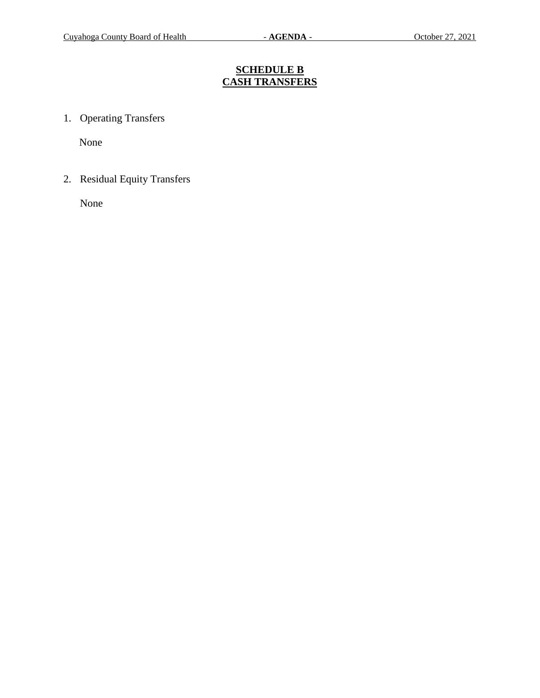# **SCHEDULE B CASH TRANSFERS**

1. Operating Transfers

None

2. Residual Equity Transfers

None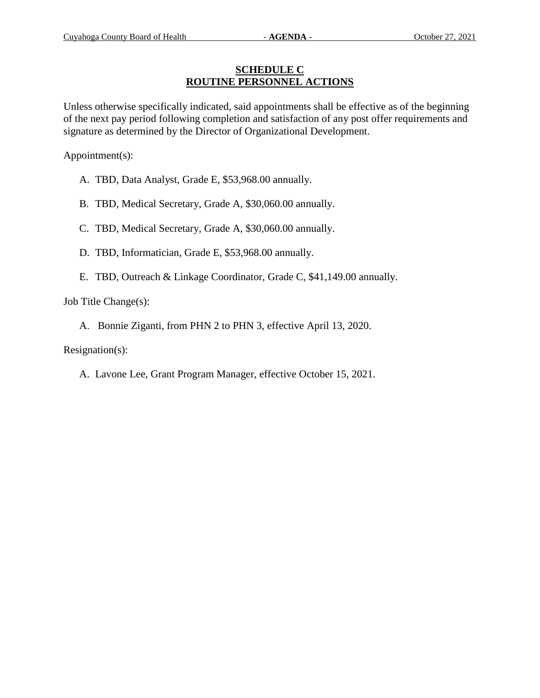#### **SCHEDULE C ROUTINE PERSONNEL ACTIONS**

Unless otherwise specifically indicated, said appointments shall be effective as of the beginning of the next pay period following completion and satisfaction of any post offer requirements and signature as determined by the Director of Organizational Development.

Appointment(s):

- A. TBD, Data Analyst, Grade E, \$53,968.00 annually.
- B. TBD, Medical Secretary, Grade A, \$30,060.00 annually.
- C. TBD, Medical Secretary, Grade A, \$30,060.00 annually.
- D. TBD, Informatician, Grade E, \$53,968.00 annually.
- E. TBD, Outreach & Linkage Coordinator, Grade C, \$41,149.00 annually.

Job Title Change(s):

A. Bonnie Ziganti, from PHN 2 to PHN 3, effective April 13, 2020.

Resignation(s):

A. Lavone Lee, Grant Program Manager, effective October 15, 2021.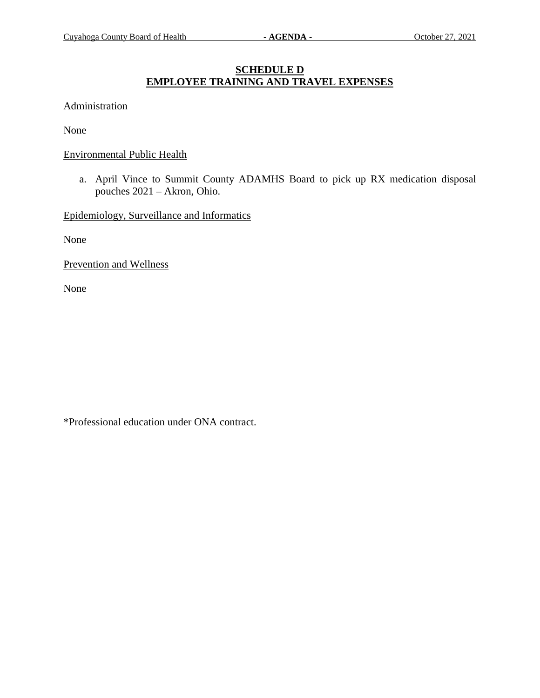# **SCHEDULE D EMPLOYEE TRAINING AND TRAVEL EXPENSES**

#### Administration

None

#### Environmental Public Health

a. April Vince to Summit County ADAMHS Board to pick up RX medication disposal pouches 2021 – Akron, Ohio.

Epidemiology, Surveillance and Informatics

None

Prevention and Wellness

None

\*Professional education under ONA contract.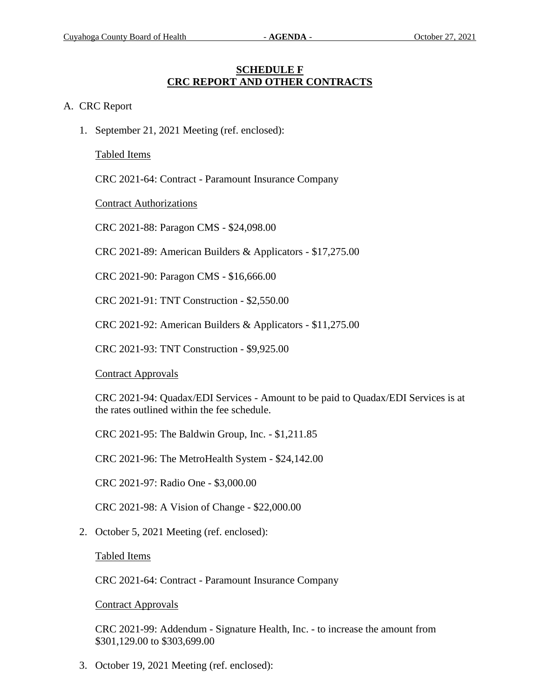#### **SCHEDULE F CRC REPORT AND OTHER CONTRACTS**

#### A. CRC Report

1. September 21, 2021 Meeting (ref. enclosed):

Tabled Items

CRC 2021-64: Contract - Paramount Insurance Company

Contract Authorizations

CRC 2021-88: Paragon CMS - \$24,098.00

CRC 2021-89: American Builders & Applicators - \$17,275.00

CRC 2021-90: Paragon CMS - \$16,666.00

CRC 2021-91: TNT Construction - \$2,550.00

CRC 2021-92: American Builders & Applicators - \$11,275.00

CRC 2021-93: TNT Construction - \$9,925.00

Contract Approvals

CRC 2021-94: Quadax/EDI Services - Amount to be paid to Quadax/EDI Services is at the rates outlined within the fee schedule.

CRC 2021-95: The Baldwin Group, Inc. - \$1,211.85

CRC 2021-96: The MetroHealth System - \$24,142.00

CRC 2021-97: Radio One - \$3,000.00

CRC 2021-98: A Vision of Change - \$22,000.00

2. October 5, 2021 Meeting (ref. enclosed):

Tabled Items

CRC 2021-64: Contract - Paramount Insurance Company

Contract Approvals

CRC 2021-99: Addendum - Signature Health, Inc. - to increase the amount from \$301,129.00 to \$303,699.00

3. October 19, 2021 Meeting (ref. enclosed):